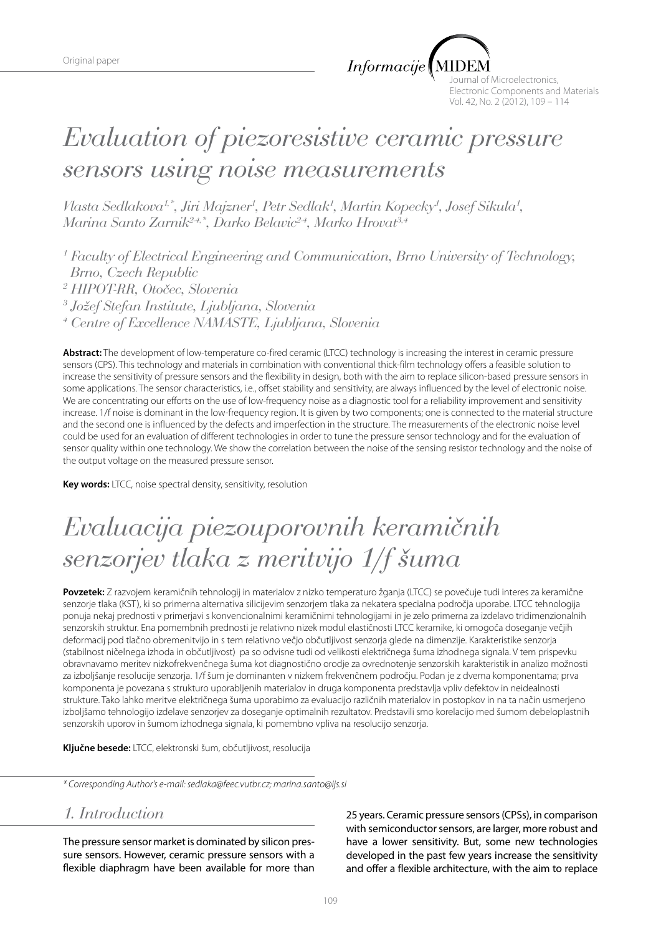$Informacije$ 

ournal of Microelectronics, Electronic Components and Materials Vol. 42, No. 2 (2012), 109 – 114

# *Evaluation of piezoresistive ceramic pressure sensors using noise measurements*

*Vlasta Sedlakova<sup>1,\*</sup>, Jiri Majzner<sup>1</sup>, Petr Sedlak<sup>1</sup>, Martin Kopecky<sup>1</sup>, Josef Sikula<sup>1</sup>, Marina Santo Zarnik2-4,\*, Darko Belavic2-4, Marko Hrovat3,4*

<sup>1</sup> Faculty of Electrical Engineering and Communication, Brno University of Technology,  *Brno, Czech Republic* 

*2 HIPOT-RR, Otočec, Slovenia*

*3 Jožef Stefan Institute, Ljubljana, Slovenia* 

*4 Centre of Excellence NAMASTE, Ljubljana, Slovenia*

**Abstract:** The development of low-temperature co-fired ceramic (LTCC) technology is increasing the interest in ceramic pressure sensors (CPS). This technology and materials in combination with conventional thick-film technology offers a feasible solution to increase the sensitivity of pressure sensors and the flexibility in design, both with the aim to replace silicon-based pressure sensors in some applications. The sensor characteristics, i.e., offset stability and sensitivity, are always influenced by the level of electronic noise. We are concentrating our efforts on the use of low-frequency noise as a diagnostic tool for a reliability improvement and sensitivity increase. 1/f noise is dominant in the low-frequency region. It is given by two components; one is connected to the material structure and the second one is influenced by the defects and imperfection in the structure. The measurements of the electronic noise level could be used for an evaluation of different technologies in order to tune the pressure sensor technology and for the evaluation of sensor quality within one technology. We show the correlation between the noise of the sensing resistor technology and the noise of the output voltage on the measured pressure sensor.

**Key words:** LTCC, noise spectral density, sensitivity, resolution

# *Evaluacija piezouporovnih keramičnih senzorjev tlaka z meritvijo 1/f šuma*

**Povzetek:** Z razvojem keramičnih tehnologij in materialov z nizko temperaturo žganja (LTCC) se povečuje tudi interes za keramične senzorje tlaka (KST), ki so primerna alternativa silicijevim senzorjem tlaka za nekatera specialna področja uporabe. LTCC tehnologija ponuja nekaj prednosti v primerjavi s konvencionalnimi keramičnimi tehnologijami in je zelo primerna za izdelavo tridimenzionalnih senzorskih struktur. Ena pomembnih prednosti je relativno nizek modul elastičnosti LTCC keramike, ki omogoča doseganje večjih deformacij pod tlačno obremenitvijo in s tem relativno večjo občutljivost senzorja glede na dimenzije. Karakteristike senzorja (stabilnost ničelnega izhoda in občutljivost) pa so odvisne tudi od velikosti električnega šuma izhodnega signala. V tem prispevku obravnavamo meritev nizkofrekvenčnega šuma kot diagnostično orodje za ovrednotenje senzorskih karakteristik in analizo možnosti za izboljšanje resolucije senzorja. 1/f šum je dominanten v nizkem frekvenčnem področju. Podan je z dvema komponentama; prva komponenta je povezana s strukturo uporabljenih materialov in druga komponenta predstavlja vpliv defektov in neidealnosti strukture. Tako lahko meritve električnega šuma uporabimo za evaluacijo različnih materialov in postopkov in na ta način usmerjeno izboljšamo tehnologijo izdelave senzorjev za doseganje optimalnih rezultatov. Predstavili smo korelacijo med šumom debeloplastnih senzorskih uporov in šumom izhodnega signala, ki pomembno vpliva na resolucijo senzorja.

**Ključne besede:** LTCC, elektronski šum, občutljivost, resolucija

*\* Corresponding Author's e-mail: sedlaka@feec.vutbr.cz; marina.santo@ijs.si*

## *1. Introduction*

The pressure sensor market is dominated by silicon pressure sensors. However, ceramic pressure sensors with a flexible diaphragm have been available for more than 25 years. Ceramic pressure sensors (CPSs), in comparison with semiconductor sensors, are larger, more robust and have a lower sensitivity. But, some new technologies developed in the past few years increase the sensitivity and offer a flexible architecture, with the aim to replace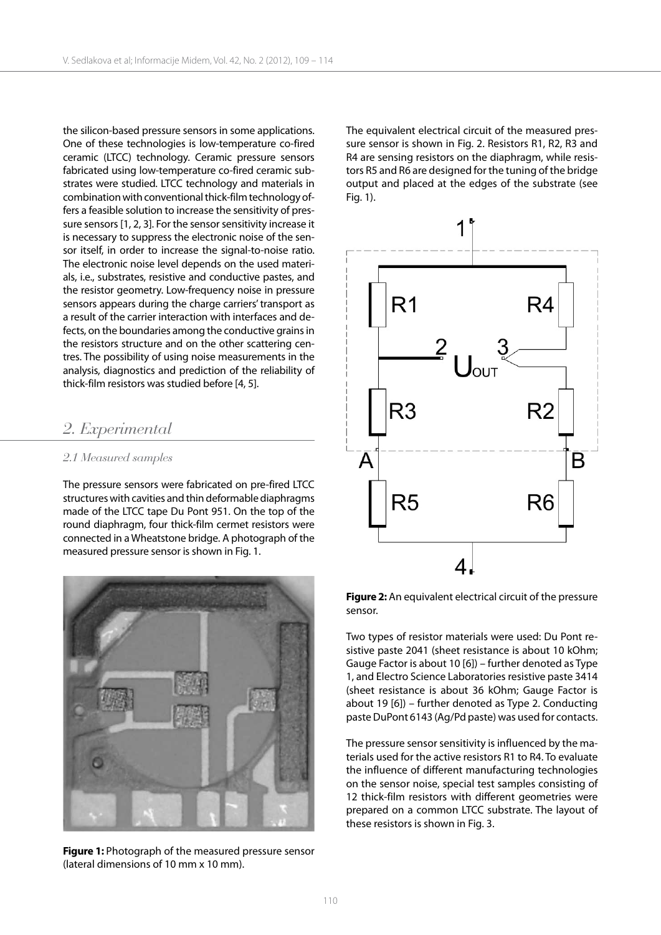the silicon-based pressure sensors in some applications. One of these technologies is low-temperature co-fired ceramic (LTCC) technology. Ceramic pressure sensors fabricated using low-temperature co-fired ceramic substrates were studied. LTCC technology and materials in combination with conventional thick-film technology offers a feasible solution to increase the sensitivity of pressure sensors [1, 2, 3]. For the sensor sensitivity increase it is necessary to suppress the electronic noise of the sensor itself, in order to increase the signal-to-noise ratio. The electronic noise level depends on the used materials, i.e., substrates, resistive and conductive pastes, and the resistor geometry. Low-frequency noise in pressure sensors appears during the charge carriers' transport as a result of the carrier interaction with interfaces and defects, on the boundaries among the conductive grains in the resistors structure and on the other scattering centres. The possibility of using noise measurements in the analysis, diagnostics and prediction of the reliability of thick-film resistors was studied before [4, 5].

### *2. Experimental*

#### *2.1 Measured samples*

The pressure sensors were fabricated on pre-fired LTCC structures with cavities and thin deformable diaphragms made of the LTCC tape Du Pont 951. On the top of the round diaphragm, four thick-film cermet resistors were connected in a Wheatstone bridge. A photograph of the measured pressure sensor is shown in Fig. 1.



**Figure 1:** Photograph of the measured pressure sensor (lateral dimensions of 10 mm x 10 mm).

The equivalent electrical circuit of the measured pressure sensor is shown in Fig. 2. Resistors R1, R2, R3 and R4 are sensing resistors on the diaphragm, while resistors R5 and R6 are designed for the tuning of the bridge output and placed at the edges of the substrate (see Fig. 1).



**Figure 2:** An equivalent electrical circuit of the pressure sensor.

Two types of resistor materials were used: Du Pont resistive paste 2041 (sheet resistance is about 10 kOhm; Gauge Factor is about 10 [6]) – further denoted as Type 1, and Electro Science Laboratories resistive paste 3414 (sheet resistance is about 36 kOhm; Gauge Factor is about 19 [6]) – further denoted as Type 2. Conducting paste DuPont 6143 (Ag/Pd paste) was used for contacts.

The pressure sensor sensitivity is influenced by the materials used for the active resistors R1 to R4. To evaluate the influence of different manufacturing technologies on the sensor noise, special test samples consisting of 12 thick-film resistors with different geometries were prepared on a common LTCC substrate. The layout of these resistors is shown in Fig. 3.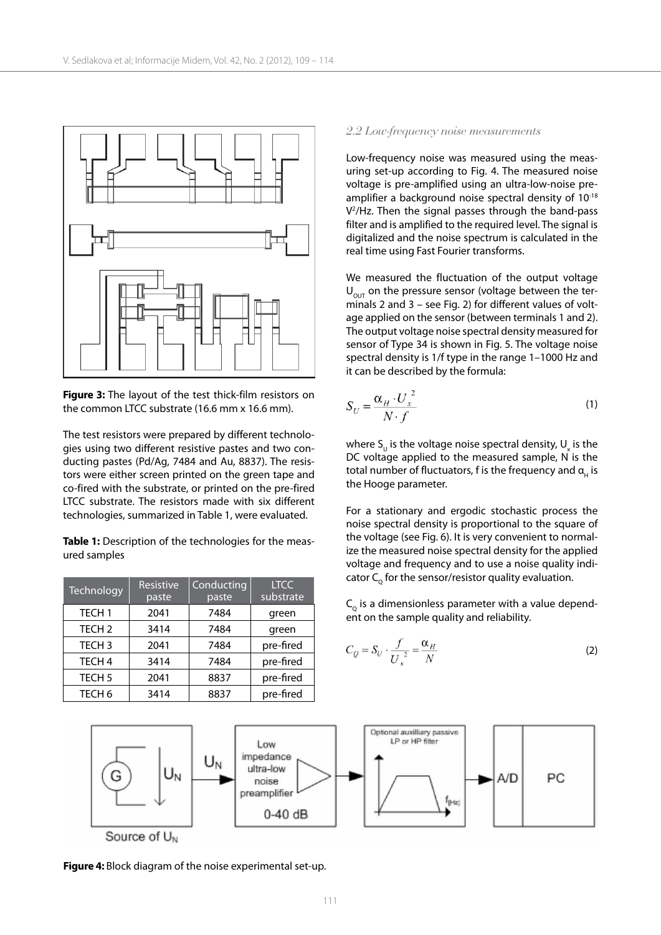

**Figure 3:** The layout of the test thick-film resistors on the common LTCC substrate (16.6 mm x 16.6 mm).

The test resistors were prepared by different technologies using two different resistive pastes and two conducting pastes (Pd/Ag, 7484 and Au, 8837). The resistors were either screen printed on the green tape and co-fired with the substrate, or printed on the pre-fired LTCC substrate. The resistors made with six different technologies, summarized in Table 1, were evaluated.

**Table 1:** Description of the technologies for the measured samples

| Technology        | Resistive<br>paste | Conducting<br>paste | <b>LTCC</b><br>substrate |
|-------------------|--------------------|---------------------|--------------------------|
| TECH <sub>1</sub> | 2041               | 7484                | green                    |
| TECH <sub>2</sub> | 3414               | 7484                | green                    |
| TECH <sub>3</sub> | 2041               | 7484                | pre-fired                |
| TECH <sub>4</sub> | 3414               | 7484                | pre-fired                |
| TECH <sub>5</sub> | 2041               | 8837                | pre-fired                |
| TECH <sub>6</sub> | 3414               | 8837                | pre-fired                |

#### *2.2 Low-frequency noise measurements*

Low-frequency noise was measured using the measuring set-up according to Fig. 4. The measured noise voltage is pre-amplified using an ultra-low-noise preamplifier a background noise spectral density of 10-18 V2 /Hz. Then the signal passes through the band-pass filter and is amplified to the required level. The signal is digitalized and the noise spectrum is calculated in the real time using Fast Fourier transforms.

We measured the fluctuation of the output voltage  $U_{\text{out}}$  on the pressure sensor (voltage between the terminals 2 and 3 – see Fig. 2) for different values of voltage applied on the sensor (between terminals 1 and 2). The output voltage noise spectral density measured for sensor of Type 34 is shown in Fig. 5. The voltage noise spectral density is 1/f type in the range 1–1000 Hz and it can be described by the formula:

$$
S_U = \frac{\alpha_H \cdot U_x^2}{N \cdot f} \tag{1}
$$

where  $S_{U}$  is the voltage noise spectral density,  $U_{x}$  is the DC voltage applied to the measured sample, N is the total number of fluctuators, f is the frequency and  $a_{\mu}$  is the Hooge parameter.

For a stationary and ergodic stochastic process the noise spectral density is proportional to the square of the voltage (see Fig. 6). It is very convenient to normalize the measured noise spectral density for the applied voltage and frequency and to use a noise quality indicator  $C_0$  for the sensor/resistor quality evaluation.

 $C<sub>o</sub>$  is a dimensionless parameter with a value dependent on the sample quality and reliability.

$$
C_Q = S_U \cdot \frac{f}{U_x^2} = \frac{\alpha_H}{N}
$$
 (2)



**Figure 4:** Block diagram of the noise experimental set-up.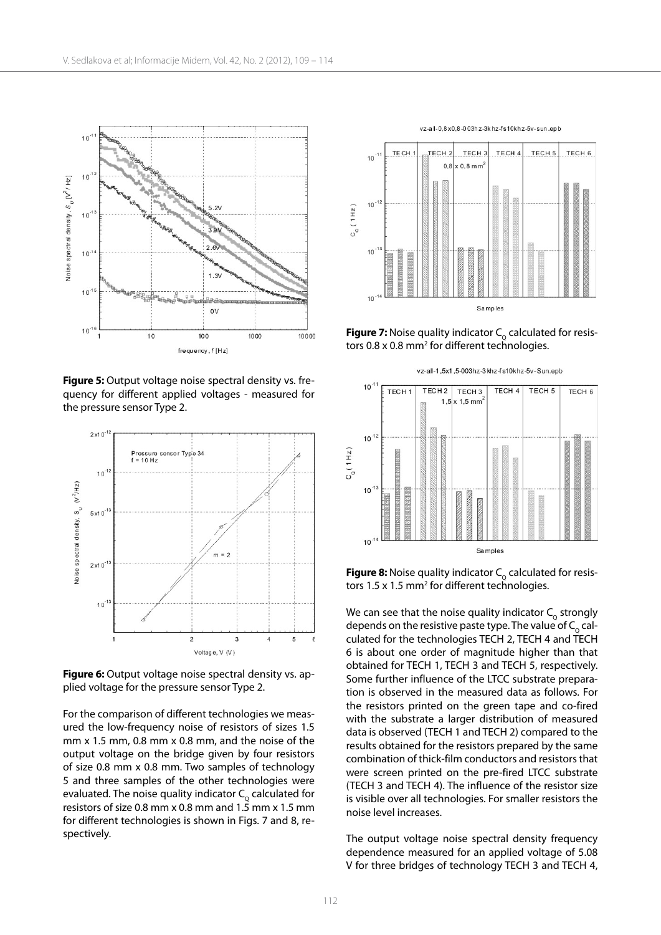

**Figure 5:** Output voltage noise spectral density vs. frequency for different applied voltages - measured for the pressure sensor Type 2.



Figure 6: Output voltage noise spectral density vs. applied voltage for the pressure sensor Type 2.

For the comparison of different technologies we measured the low-frequency noise of resistors of sizes 1.5 mm x 1.5 mm, 0.8 mm x 0.8 mm, and the noise of the output voltage on the bridge given by four resistors of size 0.8 mm x 0.8 mm. Two samples of technology 5 and three samples of the other technologies were evaluated. The noise quality indicator  $C_{\alpha}$  calculated for resistors of size 0.8 mm x 0.8 mm and 1.5 mm x 1.5 mm for different technologies is shown in Figs. 7 and 8, respectively.



**Figure 7:** Noise quality indicator  $C_0$  calculated for resistors 0.8 x 0.8 mm<sup>2</sup> for different technologies.



**Figure 8:** Noise quality indicator  $C_0$  calculated for resistors 1.5 x 1.5 mm<sup>2</sup> for different technologies.

We can see that the noise quality indicator  $C_{\alpha}$  strongly depends on the resistive paste type. The value of  $C_{\alpha}$  calculated for the technologies TECH 2, TECH 4 and TECH 6 is about one order of magnitude higher than that obtained for TECH 1, TECH 3 and TECH 5, respectively. Some further influence of the LTCC substrate preparation is observed in the measured data as follows. For the resistors printed on the green tape and co-fired with the substrate a larger distribution of measured data is observed (TECH 1 and TECH 2) compared to the results obtained for the resistors prepared by the same combination of thick-film conductors and resistors that were screen printed on the pre-fired LTCC substrate (TECH 3 and TECH 4). The influence of the resistor size is visible over all technologies. For smaller resistors the noise level increases.

The output voltage noise spectral density frequency dependence measured for an applied voltage of 5.08 V for three bridges of technology TECH 3 and TECH 4,

112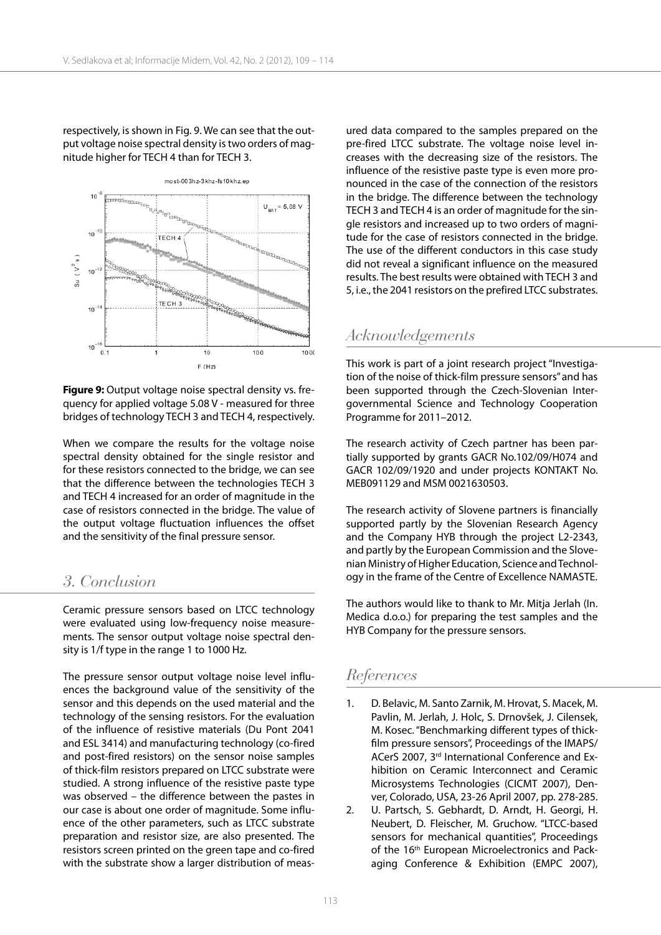respectively, is shown in Fig. 9. We can see that the output voltage noise spectral density is two orders of magnitude higher for TECH 4 than for TECH 3.



**Figure 9:** Output voltage noise spectral density vs. frequency for applied voltage 5.08 V - measured for three bridges of technology TECH 3 and TECH 4, respectively.

When we compare the results for the voltage noise spectral density obtained for the single resistor and for these resistors connected to the bridge, we can see that the difference between the technologies TECH 3 and TECH 4 increased for an order of magnitude in the case of resistors connected in the bridge. The value of the output voltage fluctuation influences the offset and the sensitivity of the final pressure sensor.

### *3. Conclusion*

Ceramic pressure sensors based on LTCC technology were evaluated using low-frequency noise measurements. The sensor output voltage noise spectral density is 1/f type in the range 1 to 1000 Hz.

The pressure sensor output voltage noise level influences the background value of the sensitivity of the sensor and this depends on the used material and the technology of the sensing resistors. For the evaluation of the influence of resistive materials (Du Pont 2041 and ESL 3414) and manufacturing technology (co-fired and post-fired resistors) on the sensor noise samples of thick-film resistors prepared on LTCC substrate were studied. A strong influence of the resistive paste type was observed – the difference between the pastes in our case is about one order of magnitude. Some influence of the other parameters, such as LTCC substrate preparation and resistor size, are also presented. The resistors screen printed on the green tape and co-fired with the substrate show a larger distribution of measured data compared to the samples prepared on the pre-fired LTCC substrate. The voltage noise level increases with the decreasing size of the resistors. The influence of the resistive paste type is even more pronounced in the case of the connection of the resistors in the bridge. The difference between the technology TECH 3 and TECH 4 is an order of magnitude for the single resistors and increased up to two orders of magnitude for the case of resistors connected in the bridge. The use of the different conductors in this case study did not reveal a significant influence on the measured results. The best results were obtained with TECH 3 and 5, i.e., the 2041 resistors on the prefired LTCC substrates.

# *Acknowledgements*

This work is part of a joint research project "Investigation of the noise of thick-film pressure sensors" and has been supported through the Czech-Slovenian Intergovernmental Science and Technology Cooperation Programme for 2011–2012.

The research activity of Czech partner has been partially supported by grants GACR No.102/09/H074 and GACR 102/09/1920 and under projects KONTAKT No. MEB091129 and MSM 0021630503.

The research activity of Slovene partners is financially supported partly by the Slovenian Research Agency and the Company HYB through the project L2-2343, and partly by the European Commission and the Slovenian Ministry of Higher Education, Science and Technology in the frame of the Centre of Excellence NAMASTE.

The authors would like to thank to Mr. Mitja Jerlah (In. Medica d.o.o.) for preparing the test samples and the HYB Company for the pressure sensors.

## *References*

- 1. D. Belavic, M. Santo Zarnik, M. Hrovat, S. Macek, M. Pavlin, M. Jerlah, J. Holc, S. Drnovšek, J. Cilensek, M. Kosec. "Benchmarking different types of thickfilm pressure sensors", Proceedings of the IMAPS/ ACerS 2007, 3rd International Conference and Exhibition on Ceramic Interconnect and Ceramic Microsystems Technologies (CICMT 2007), Denver, Colorado, USA, 23-26 April 2007, pp. 278-285.
- 2. U. Partsch, S. Gebhardt, D. Arndt, H. Georgi, H. Neubert, D. Fleischer, M. Gruchow. "LTCC-based sensors for mechanical quantities", Proceedings of the 16<sup>th</sup> European Microelectronics and Packaging Conference & Exhibition (EMPC 2007),